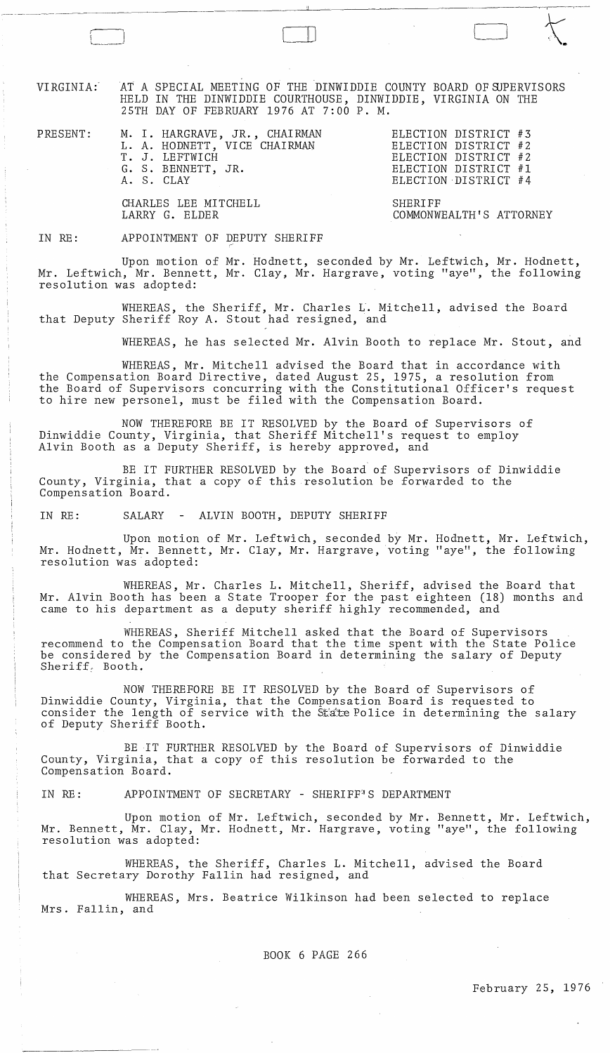VIRGINIA:'

r I  $\overline{r}$ 

,-- ----~-- ---

AT A SPECIAL MEETING OF THE DINWIDDIE COUNTY BOARD OF SJPERVISORS HELD IN THE DINWIDDIE COURTHOUSE, DINWIDDIE, VIRGINIA ON THE 25TH DAY OF FEBRUARY 1976 AT 7:00 P. M.

PRESENT:

M. I. HARGRAVE, JR., CHAIRMAN L. A. HODNETT, VICE CHAIRMAN T. J. LEFTWICH G. S. BENNETT, JR.

ELECTION DISTRICT #3 ELECTION DISTRICT #2 ELECTION DISTRICT #2 ELECTION DISTRICT #1 ELECTION DISTRICT #4

COMMONWEALTH'S ATTORNEY

 $\begin{picture}(180,10) \put(0,0){\line(1,0){10}} \put(10,0){\line(1,0){10}} \put(10,0){\line(1,0){10}} \put(10,0){\line(1,0){10}} \put(10,0){\line(1,0){10}} \put(10,0){\line(1,0){10}} \put(10,0){\line(1,0){10}} \put(10,0){\line(1,0){10}} \put(10,0){\line(1,0){10}} \put(10,0){\line(1,0){10}} \put(10,0){\line(1,0){10}} \put(10,0){\line($ 

SHERIFF

CHARLES LEE MITCHELL LARRY G. ELDER

## IN RE: APPOINTMENT OF DEPUTY SHERIFF

A. S. CLAY

Upon motion of Mr. Hodnett, seconded by Mr. Leftwich, Mr. Hodnett, Mr. Leftwich, Mr. Bennett, Mr. Clay, Mr. Hargrave, voting "aye", the following resolution was adopted:

WHEREAS, the Sheriff, Mr. Charles L. Mitchell, advised the Board that Deputy Sheriff Roy A. Stout had resigned, and

WHEREAS, he has selected Mr. Alvin Booth to replace Mr. Stout, and

WHEREAS, Mr. Mitchell advised the Board that in accordance with the Compensation Board Directive, dated August 25, 1975, a resolution from the Board of Supervisors concurring with the Constitutional Officer's request to hire new personel, must be filed with the Compensation Board.

NOW THEREFORE BE IT RESOLVED by the Board of Supervisors of Dinwiddie County, Virginia, that Sheriff Mitchell's request to employ Alvin Booth as a Deputy Sheriff, is hereby approved, and

BE IT FURTHER RESOLVED by the Board of Supervisors of Dinwiddie County, Virginia, that a copy of this resolution be forwarded to the Compensation Board.

IN RE: SALARY - ALVIN BOOTH, DEPUTY SHERIFF

Upon motion of Mr. Leftwich, seconded by Mr. Hodnett, Mr. Leftwich, Mr. Hodnett, Mr. Bennett, Mr. Clay, Mr. Hargrave, voting "aye", the following resolution was adopted:

WHEREAS, Mr. Charles L. Mitchell, Sheriff, advised the Board that Mr. Alvin Booth has been a State Trooper for the past eighteen (18) months and came to his department as a deputy sheriff highly recommended, and

WHEREAS, Sheriff Mitchell asked that the Board of Supervisors recommend to the Compensation Board that the time spent with the State Police be considered by the Compensation Board in determining the salary of Deputy Sheriff; Booth.

NOW THEREFORE BE IT RESOLVED by the Board of Supervisors of Dinwiddie County, Virginia, that the Compensation Board is requested to consider the length of service with the State Police in determining the salary of Deputy Sheriff Booth.

BE IT FURTHER RESOLVED by the Board of Supervisors of Dinwiddie County, Virginia, that a copy of this resolution be forwarded to the Compensation Board.

IN RE: APPOINTMENT OF SECRETARY - SHERIFF"S DEPARTMENT

Upon motion of Mr. Leftwich, seconded by Mr. Bennett, Mr. Leftwich, Mr. Bennett, Mr. Clay, Mr. Hodnett, Mr. Hargrave, voting "aye", the following resolution was adopted:

WHEREAS, the Sheriff, Charles L. Mitchell, advised the Board that Secretary Dorothy Fallin had resigned, and

WHEREAS, Mrs. Beatrice Wilkinson had been selected to replace Mrs. Fallin, and

BOOK 6 PAGE 266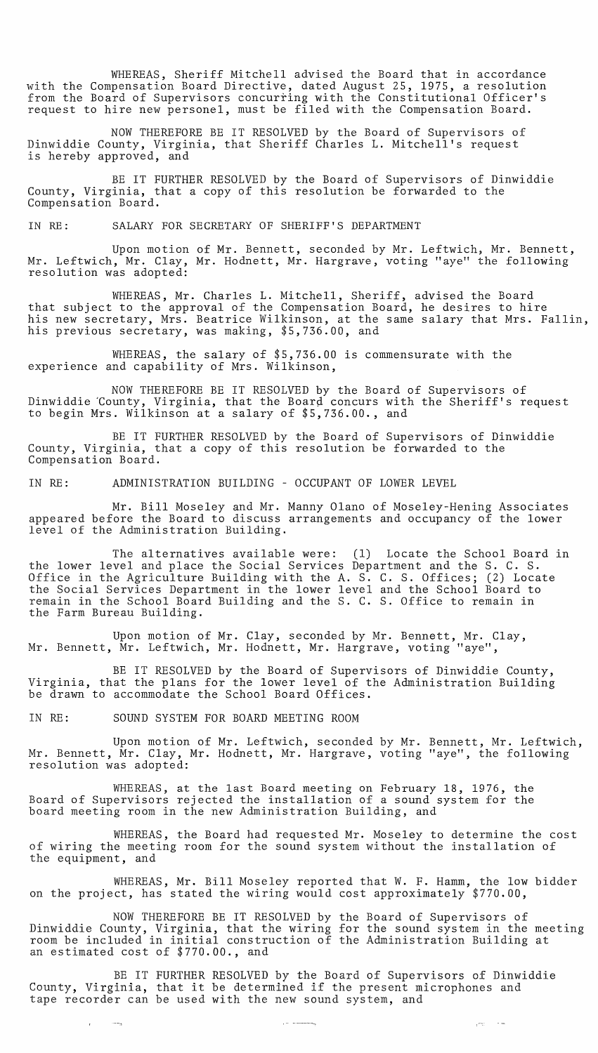WHEREAS, Sheriff Mitchell advised the Board that in accordance with the Compensation Board Directive, dated August 25, 1975, a resolution from the Board of Supervisors concurring with the Constitutional Officer's request to hire new personel, must be filed with the Compensation Board.

NOW THEREFORE BE IT RESOLVED by the Board of Supervisors of Dinwiddie County, Virginia, that Sheriff Charles L. Mitchell's request is hereby approved, and

BE IT FURTHER RESOLVED by the Board of Supervisors of Dinwiddie County, Virginia, that a copy of this resolution be forwarded to the Compensation Board.

IN RE: SALARY FOR SECRETARY OF SHERIFF'S DEPARTMENT

Upon motion of Mr. Bennett, seconded by Mr. Leftwich, Mr. Bennett, Mr. Leftwich, Mr. Clay, Mr. Hodnett, Mr. Hargrave, voting "aye" the following resolution was adopted:

WHEREAS, Mr. Charles L. Mitchell, Sheriff, advised the Board that subject to the approval of the Compensation Board, he desires to hire his new secretary, Mrs. Beatrice Wilkinson, at the same salary that Mrs. Fallin, his previous secretary, was making, \$5,736.00, and

WHEREAS, the salary of \$5,736.00 is commensurate with the experience and capability of Mrs. Wilkinson,

NOW THEREFORE BE IT RESOLVED by the Board of Supervisors of Dinwiddie County, Virginia, that the Board concurs with the Sheriff's request to begin Mrs. Wilkinson at a salary of \$5,736.00., and

BE IT FURTHER RESOLVED by the Board of Supervisors of Dinwiddie County, Virginia, that a copy of this resolution be forwarded to the Compensation Board.

IN RE: ADMINISTRATION BUILDING - OCCUPANT OF LOWER LEVEL

Mr. Bill Moseley and Mr. Manny Olano of Moseley-Hening Associates appeared before the Board to discuss arrangements and occupancy of the lower level of the Administration Building.

The alternatives available were: (1) Locate the School Board in the lower level and place the Social Services Department and the S. C. S. Office in the Agriculture Building with the A. S. C. S. Offices; (2) Locate the Social Services Department in the lower level and the School Board to remain in the School Board Building and the S. C. S. Office to remain in the Farm Bureau Building.

Upon motion of Mr. Clay, seconded by Mr. Bennett, Mr. Clay, Mr. Bennett, Mr. Leftwich, Mr. Hodnett, Mr. Hargrave, voting "aye",

BE IT RESOLVED by the Board of Supervisors of Dinwiddie County, Virginia, that the plans for the lower level of the Administration Building be drawn to accommodate the School Board Offices.

IN RE: SOUND SYSTEM FOR BOARD MEETING ROOM

and the streets

Upon motion of Mr. Leftwich, seconded by Mr. Bennett, Mr. Leftwich, Mr. Bennett, Mr. Clay, Mr. Hodnett, Mr. Hargrave, voting "aye", the following resolution was adopted:

WHEREAS, at the last Board meeting on February 18, 1976, the Board of Supervisors rejected the installation of a sound system for the board meeting room in the new Administration Building, and

WHEREAS, the Board had requested Mr. Moseley to determine the cost of wiring the meeting room for the sound system without the installation of the equipment, and

WHEREAS, Mr. Bill Moseley reported that W. F. Hamm, the low bidder on the project, has stated the wiring would cost approximately \$770.00,

NOW THEREFORE BE IT RESOLVED by the Board of Supervisors of Dinwiddie County, Virginia, that the wiring for the sound system in the meeting room be included in initial construction of the Administration Building at an estimated cost of \$770.00., and

BE IT FURTHER RESOLVED by the Board of Supervisors of Dinwiddie ER IT FORTHER RESOLVED by the BOArd OI Supervisors of DINW.<br>County, Virginia, that it be determined if the present microphones and tape recorder can be used with the new sound system, and

المستشفرة الدارا

 $\sqrt{-\omega}$  ,  $\omega$  ,  $\omega$  ,  $\omega$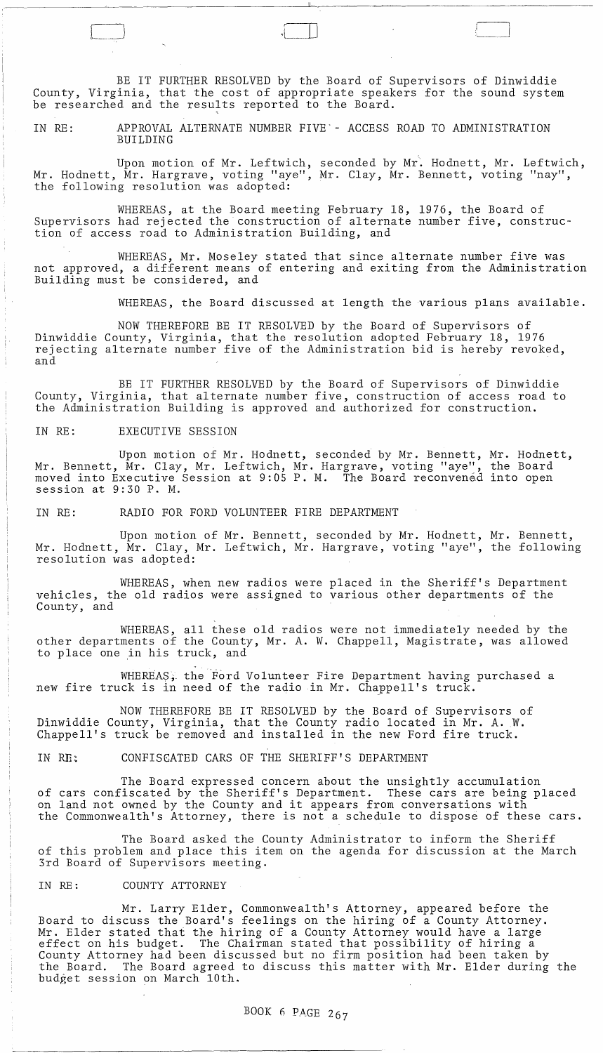BE IT FURTHER RESOLVED by the Board of Supervisors of Dinwiddie County, Virginia, that the cost of appropriate speakers for the sound system be researched and the results reported to the Board.

IN RE: APPROVAL ALTERNATE NUMBER FIVE'- ACCESS ROAD TO ADMINISTRATION BUILDING

Upon motion of Mr. Leftwich, seconded by Mr. Hodnett, Mr. Leftwich, Mr. Hodnett, Mr. Hargrave, voting "aye", Mr. Clay, Mr. Bennett, voting "nay", the following resolution was adopted:

WHEREAS, at the Board meeting February 18, 1976, the Board of Supervisors had rejected the construction of alternate number five, construction of access road to Administration Building, and

WHEREAS, Mr. Moseley stated that since alternate number five was not approved, a different means of entering and exiting from the Administration Building must be considered, and

WHEREAS, the Board discussed at length the various plans available.

NOW THEREFORE BE IT RESOLVED by the Board of Supervisors of Dinwiddie County, Virginia, that the resolution adopted February 18, 1976 rejecting alternate number five of the Administration bid is hereby revoked, and

BE IT FURTHER RESOLVED by the Board of Supervisors of Dinwiddie County, Virginia, that alternate number five, construction of access road to the Administration Building is approved and authorized for construction.

IN RE: EXECUTIVE SESSION

Upon motion of Mr. Hodnett, seconded by Mr. Bennett, Mr. Hodnett, Mr. Bennett, Mr. Clay, Mr. Leftwich, Mr. Hargrave, voting "aye", the Board moved into Executive Session at 9:05 P.M. The Board reconvened into open session at 9:30 P. M.

IN RE: RADIO FOR FORD VOLUNTEER FIRE DEPARTMENT

Upon motion of Mr. Bennett, seconded by Mr. Hodnett, Mr. Bennett, Mr. Hodnett, Mr. Clay, Mr. Leftwich, Mr. Hargrave, voting "aye", the following resolution was adopted:

WHEREAS, when new radios were placed in the Sheriff's Department vehicles, the old radios were assigned to various other departments of the County, and

WHEREAS, all these old radios were not immediately needed by the other departments of the County, Mr. A. W. Chappell, Magistrate, was allowed to place one in his truck, and

WHEREAS. the Ford Volunteer Fire Department having purchased a new fire truck is in need of the radio in Mr. Chappell's truck.

NOW THEREFORE BE IT RESOLVED by the Board of Supervisors of Dinwiddie County, Virginia, that the County radio located in Mr. A.W. Chappell's truck be removed and installed in the new Ford fire truck.

IN RE: CONFISCATED CARS OF THE SHERIFF'S DEPARTMENT

The Board expressed concern about the unsightly accumulation of cars confiscated by the Sheriff's Department. These cars are being placed on land not owned by the County and it appears from conversations with the Commonwealth's Attorney, there is not a schedule to dispose of these cars.

The Board asked the County Administrator to inform the Sheriff of this problem and place this item on the agenda for discussion at the March 3rd Board of Supervisors meeting.

IN RE: COUNTY ATTORNEY

Mr. Larry Elder, Commonwealth's Attorney, appeared before the Board to discuss the Board's feelings on the hiring of a County Attorney. Mr. Elder stated that the hiring of a County Attorney would have a large effect on his budget. The Chairman stated that possibility of hiring a County Attorney had been discussed but no firm position had been taken by the Board. The Board agreed to discuss this matter with Mr. Elder during the budget session on March 10th.